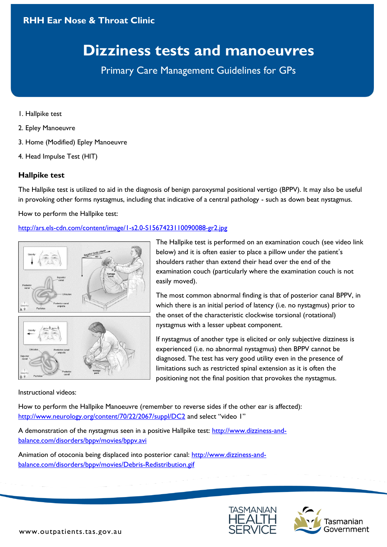# **RHH Ear Nose & Throat Clinic**

# **Dizziness tests and manoeuvres**

Primary Care Management Guidelines for GPs

- 1. Hallpike test
- 2. Epley Manoeuvre
- 3. Home (Modified) Epley Manoeuvre
- 4. Head Impulse Test (HIT)

## **Hallpike test**

The Hallpike test is utilized to aid in the diagnosis of benign paroxysmal positional vertigo (BPPV). It may also be useful in provoking other forms nystagmus, including that indicative of a central pathology - such as down beat nystagmus.

How to perform the Hallpike test:

## <http://ars.els-cdn.com/content/image/1-s2.0-S1567423110090088-gr2.jpg>



The Hallpike test is performed on an examination couch (see video link below) and it is often easier to place a pillow under the patient's shoulders rather than extend their head over the end of the examination couch (particularly where the examination couch is not easily moved).

The most common abnormal finding is that of posterior canal BPPV, in which there is an initial period of latency (i.e. no nystagmus) prior to the onset of the characteristic clockwise torsional (rotational) nystagmus with a lesser upbeat component.

If nystagmus of another type is elicited or only subjective dizziness is experienced (i.e. no abnormal nystagmus) then BPPV cannot be diagnosed. The test has very good utility even in the presence of limitations such as restricted spinal extension as it is often the positioning not the final position that provokes the nystagmus.

#### Instructional videos:

How to perform the Hallpike Manoeuvre (remember to reverse sides if the other ear is affected): <http://www.neurology.org/content/70/22/2067/suppl/DC2> and select "video 1"

A demonstration of the nystagmus seen in a positive Hallpike test: [http://www.dizziness-and](http://www.dizziness-and-balance.com/disorders/bppv/movies/bppv.avi)[balance.com/disorders/bppv/movies/bppv.avi](http://www.dizziness-and-balance.com/disorders/bppv/movies/bppv.avi)

Animation of otoconia being displaced into posterior canal: [http://www.dizziness-and](http://www.dizziness-and-balance.com/disorders/bppv/movies/Debris-Redistribution.gif)[balance.com/disorders/bppv/movies/Debris-Redistribution.gif](http://www.dizziness-and-balance.com/disorders/bppv/movies/Debris-Redistribution.gif)



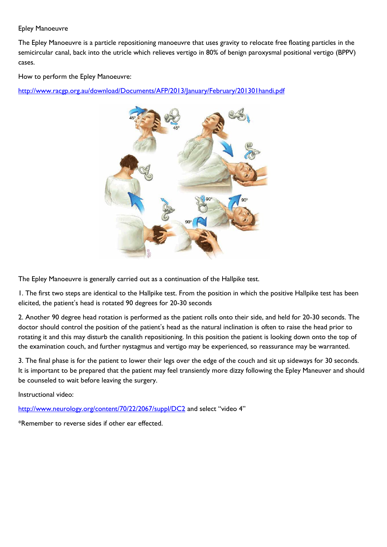#### Epley Manoeuvre

The Epley Manoeuvre is a particle repositioning manoeuvre that uses gravity to relocate free floating particles in the semicircular canal, back into the utricle which relieves vertigo in 80% of benign paroxysmal positional vertigo (BPPV) cases.

How to perform the Epley Manoeuvre:

<http://www.racgp.org.au/download/Documents/AFP/2013/January/February/201301handi.pdf>



The Epley Manoeuvre is generally carried out as a continuation of the Hallpike test.

1. The first two steps are identical to the Hallpike test. From the position in which the positive Hallpike test has been elicited, the patient's head is rotated 90 degrees for 20-30 seconds

2. Another 90 degree head rotation is performed as the patient rolls onto their side, and held for 20-30 seconds. The doctor should control the position of the patient's head as the natural inclination is often to raise the head prior to rotating it and this may disturb the canalith repositioning. In this position the patient is looking down onto the top of the examination couch, and further nystagmus and vertigo may be experienced, so reassurance may be warranted.

3. The final phase is for the patient to lower their legs over the edge of the couch and sit up sideways for 30 seconds. It is important to be prepared that the patient may feel transiently more dizzy following the Epley Maneuver and should be counseled to wait before leaving the surgery.

Instructional video:

<http://www.neurology.org/content/70/22/2067/suppl/DC2> and select "video 4"

\*Remember to reverse sides if other ear effected.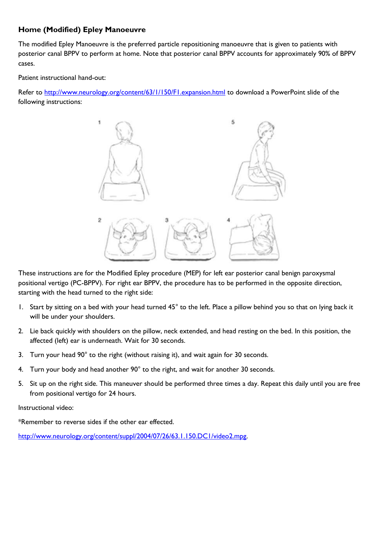## **Home (Modified) Epley Manoeuvre**

The modified Epley Manoeuvre is the preferred particle repositioning manoeuvre that is given to patients with posterior canal BPPV to perform at home. Note that posterior canal BPPV accounts for approximately 90% of BPPV cases.

Patient instructional hand-out:

Refer to<http://www.neurology.org/content/63/1/150/F1.expansion.html> to download a PowerPoint slide of the following instructions:



These instructions are for the Modified Epley procedure (MEP) for left ear posterior canal benign paroxysmal positional vertigo (PC-BPPV). For right ear BPPV, the procedure has to be performed in the opposite direction, starting with the head turned to the right side:

- 1. Start by sitting on a bed with your head turned 45° to the left. Place a pillow behind you so that on lying back it will be under your shoulders.
- 2. Lie back quickly with shoulders on the pillow, neck extended, and head resting on the bed. In this position, the affected (left) ear is underneath. Wait for 30 seconds.
- 3. Turn your head 90° to the right (without raising it), and wait again for 30 seconds.
- 4. Turn your body and head another 90° to the right, and wait for another 30 seconds.
- 5. Sit up on the right side. This maneuver should be performed three times a day. Repeat this daily until you are free from positional vertigo for 24 hours.

Instructional video:

\*Remember to reverse sides if the other ear effected.

[http://www.neurology.org/content/suppl/2004/07/26/63.1.150.DC1/video2.mpg.](http://www.neurology.org/content/suppl/2004/07/26/63.1.150.DC1/video2.mpg)